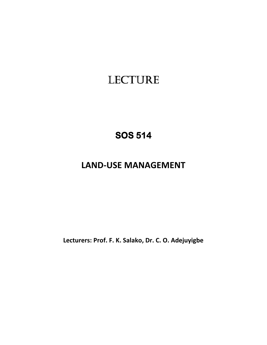# LECTURE

**SOS 514** 

# **LAND-USE MANAGEMENT**

**Lecturers: Prof. F. K. Salako, Dr. C. O. Adejuyigbe**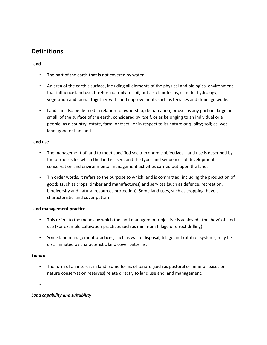# **Definitions**

#### **Land**

- The part of the earth that is not covered by water
- An area of the earth's surface, including all elements of the physical and biological environment that influence land use. It refers not only to soil, but also landforms, climate, hydrology, vegetation and fauna, together with land improvements such as terraces and drainage works.
- Land can also be defined in relation to ownership, demarcation, or use as any portion, large or small, of the surface of the earth, considered by itself, or as belonging to an individual or a people, as a country, estate, farm, or tract.; or in respect to its nature or quality; soil; as, wet land; good or bad land.

#### **Land use**

- The management of land to meet specified socio-economic objectives. Land use is described by the purposes for which the land is used, and the types and sequences of development, conservation and environmental management activities carried out upon the land.
- Tin order words, it refers to the purpose to which land is committed, including the production of goods (such as crops, timber and manufactures) and services (such as defence, recreation, biodiversity and natural resources protection). Some land uses, such as cropping, have a characteristic land cover pattern.

#### **Land management practice**

- This refers to the means by which the land management objective is achieved the 'how' of land use (For example cultivation practices such as minimum tillage or direct drilling).
- Some land management practices, such as waste disposal, tillage and rotation systems, may be discriminated by characteristic land cover patterns.

#### *Tenure*

• The form of an interest in land. Some forms of tenure (such as pastoral or mineral leases or nature conservation reserves) relate directly to land use and land management.

•

#### *Land capability and suitability*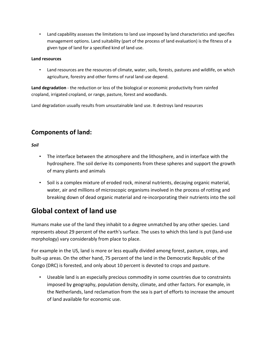• Land capability assesses the limitations to land use imposed by land characteristics and specifies management options. Land suitability (part of the process of land evaluation) is the fitness of a given type of land for a specified kind of land use.

#### **Land resources**

• Land resources are the resources of climate, water, soils, forests, pastures and wildlife, on which agriculture, forestry and other forms of rural land use depend.

**Land degradation** - the reduction or loss of the biological or economic productivity from rainfed cropland, irrigated cropland, or range, pasture, forest and woodlands.

Land degradation usually results from unsustainable land use. It destroys land resources

# **Components of land:**

*Soil*

- The interface between the atmosphere and the lithosphere, and in interface with the hydrosphere. The soil derive its components from these spheres and support the growth of many plants and animals
- Soil is a complex mixture of eroded rock, mineral nutrients, decaying organic material, water, air and millions of microscopic organisms involved in the process of rotting and breaking down of dead organic material and re-incorporating their nutrients into the soil

# **Global context of land use**

Humans make use of the land they inhabit to a degree unmatched by any other species. Land represents about 29 percent of the earth's surface. The uses to which this land is put (land-use morphology) vary considerably from place to place.

For example in the US, land is more or less equally divided among forest, pasture, crops, and built-up areas. On the other hand, 75 percent of the land in the Democratic Republic of the Congo (DRC) is forested, and only about 10 percent is devoted to crops and pasture.

• Useable land is an especially precious commodity in some countries due to constraints imposed by geography, population density, climate, and other factors. For example, in the Netherlands, land reclamation from the sea is part of efforts to increase the amount of land available for economic use.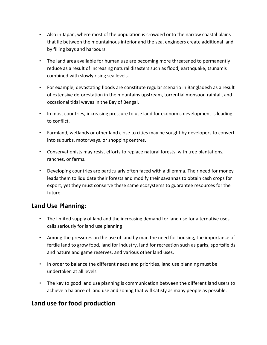- Also in Japan, where most of the population is crowded onto the narrow coastal plains that lie between the mountainous interior and the sea, engineers create additional land by filling bays and harbours.
- The land area available for human use are becoming more threatened to permanently reduce as a result of increasing natural disasters such as flood, earthquake, tsunamis combined with slowly rising sea levels.
- For example, devastating floods are constitute regular scenario in Bangladesh as a result of extensive deforestation in the mountains upstream, torrential monsoon rainfall, and occasional tidal waves in the Bay of Bengal.
- In most countries, increasing pressure to use land for economic development is leading to conflict.
- Farmland, wetlands or other land close to cities may be sought by developers to convert into suburbs, motorways, or shopping centres.
- Conservationists may resist efforts to replace natural forests with tree plantations, ranches, or farms.
- Developing countries are particularly often faced with a dilemma. Their need for money leads them to liquidate their forests and modify their savannas to obtain cash crops for export, yet they must conserve these same ecosystems to guarantee resources for the future.

### **Land Use Planning**:

- The limited supply of land and the increasing demand for land use for alternative uses calls seriously for land use planning
- Among the pressures on the use of land by man the need for housing, the importance of fertile land to grow food, land for industry, land for recreation such as parks, sportsfields and nature and game reserves, and various other land uses.
- In order to balance the different needs and priorities, land use planning must be undertaken at all levels
- The key to good land use planning is communication between the different land users to achieve a balance of land use and zoning that will satisfy as many people as possible.

# **Land use for food production**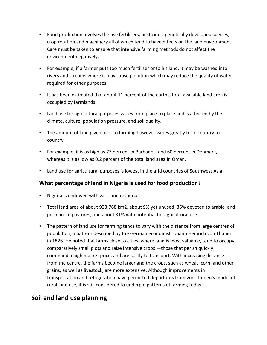- Food production involves the use fertilisers, pesticides, genetically developed species, crop rotation and machinery all of which tend to have effects on the land environment. Care must be taken to ensure that intensive farming methods do not affect the environment negatively.
- For example, if a farmer puts too much fertiliser onto his land, it may be washed into rivers and streams where it may cause pollution which may reduce the quality of water required for other purposes.
- It has been estimated that about 11 percent of the earth's total available land area is occupied by farmlands.
- Land use for agricultural purposes varies from place to place and is affected by the climate, culture, population pressure, and soil quality.
- The amount of land given over to farming however varies greatly from country to country.
- For example, it is as high as 77 percent in Barbados, and 60 percent in Denmark, whereas it is as low as 0.2 percent of the total land area in Oman.
- Land use for agricultural purposes is lowest in the arid countries of Southwest Asia.

### **What percentage of land in Nigeria is used for food production?**

- Nigeria is endowed with vast land resources
- Total land area of about 923,768 km2, about 9% yet unused, 35% devoted to arable and permanent pastures, and about 31% with potential for agricultural use.
- The pattern of land use for farming tends to vary with the distance from large centres of population, a pattern described by the German economist Johann Heinrich von Thünen in 1826. He noted that farms close to cities, where land is most valuable, tend to occupy comparatively small plots and raise intensive crops —those that perish quickly, command a high market price, and are costly to transport. With increasing distance from the centre, the farms become larger and the crops, such as wheat, corn, and other grains, as well as livestock, are more extensive. Although improvements in transportation and refrigeration have permitted departures from von Thünen's model of rural land use, it is still considered to underpin patterns of farming today

# **Soil and land use planning**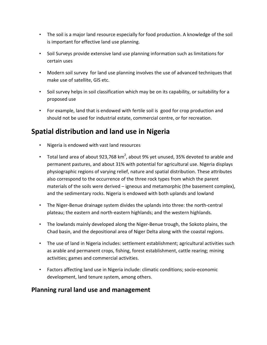- The soil is a major land resource especially for food production. A knowledge of the soil is important for effective land use planning.
- Soil Surveys provide extensive land use planning information such as limitations for certain uses
- Modern soil survey for land use planning involves the use of advanced techniques that make use of satellite, GIS etc.
- Soil survey helps in soil classification which may be on its capability, or suitability for a proposed use
- For example, land that is endowed with fertile soil is good for crop production and should not be used for industrial estate, commercial centre, or for recreation.

# **Spatial distribution and land use in Nigeria**

- Nigeria is endowed with vast land resources
- Total land area of about 923,768 km<sup>2</sup>, about 9% yet unused, 35% devoted to arable and permanent pastures, and about 31% with potential for agricultural use. Nigeria displays physiographic regions of varying relief, nature and spatial distribution. These attributes also correspond to the occurrence of the three rock types from which the parent materials of the soils were derived – igneous and metamorphic (the basement complex), and the sedimentary rocks. Nigeria is endowed with both uplands and lowland
- The Niger-Benue drainage system divides the uplands into three: the north-central plateau; the eastern and north-eastern highlands; and the western highlands.
- The lowlands mainly developed along the Niger-Benue trough, the Sokoto plains, the Chad basin, and the depositional area of Niger Delta along with the coastal regions.
- The use of land in Nigeria includes: settlement establishment; agricultural activities such as arable and permanent crops, fishing, forest establishment, cattle rearing; mining activities; games and commercial activities.
- Factors affecting land use in Nigeria include: climatic conditions; socio-economic development, land tenure system, among others.

### **Planning rural land use and management**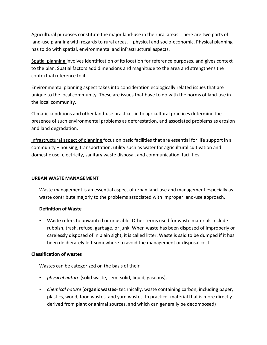Agricultural purposes constitute the major land-use in the rural areas. There are two parts of land-use planning with regards to rural areas. – physical and socio-economic. Physical planning has to do with spatial, environmental and infrastructural aspects.

Spatial planning involves identification of its location for reference purposes, and gives context to the plan. Spatial factors add dimensions and magnitude to the area and strengthens the contextual reference to it.

Environmental planning aspect takes into consideration ecologically related issues that are unique to the local community. These are issues that have to do with the norms of land-use in the local community.

Climatic conditions and other land-use practices in to agricultural practices determine the presence of such environmental problems as deforestation, and associated problems as erosion and land degradation.

Infrastructural aspect of planning focus on basic facilities that are essential for life support in a community – housing, transportation, utility such as water for agricultural cultivation and domestic use, electricity, sanitary waste disposal, and communication facilities

#### **URBAN WASTE MANAGEMENT**

Waste management is an essential aspect of urban land-use and management especially as waste contribute majorly to the problems associated with improper land-use approach.

#### **Definition of Waste**

• **Waste** refers to unwanted or unusable. Other terms used for waste materials include rubbish, trash, refuse, garbage, or junk. When waste has been disposed of improperly or carelessly disposed of in plain sight, it is called litter. Waste is said to be dumped if it has been deliberately left somewhere to avoid the management or disposal cost

#### **Classification of wastes**

Wastes can be categorized on the basis of their

- *physical nature* (solid waste, semi-solid, liquid, gaseous),
- *chemical nature* (**organic wastes** technically, waste containing carbon, including paper, plastics, wood, food wastes, and yard wastes. In practice -material that is more directly derived from plant or animal sources, and which can generally be decomposed)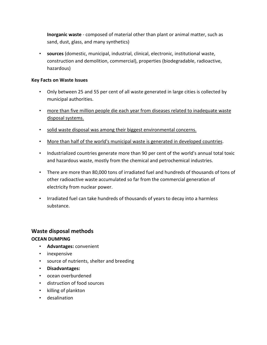**Inorganic waste** - composed of material other than plant or animal matter, such as sand, dust, glass, and many synthetics)

• **sources** (domestic, municipal, industrial, clinical, electronic, institutional waste, construction and demolition, commercial), properties (biodegradable, radioactive, hazardous)

#### **Key Facts on Waste Issues**

- Only between 25 and 55 per cent of all waste generated in large cities is collected by municipal authorities.
- more than five million people die each year from diseases related to inadequate waste disposal systems.
- solid waste disposal was among their biggest environmental concerns.
- More than half of the world's municipal waste is generated in developed countries.
- Industrialized countries generate more than 90 per cent of the world's annual total toxic and hazardous waste, mostly from the chemical and petrochemical industries.
- There are more than 80,000 tons of irradiated fuel and hundreds of thousands of tons of other radioactive waste accumulated so far from the commercial generation of electricity from nuclear power.
- Irradiated fuel can take hundreds of thousands of years to decay into a harmless substance.

#### **Waste disposal methods**

#### **OCEAN DUMPING**

- **Advantages:** convenient
- inexpensive
- source of nutrients, shelter and breeding
- **Disadvantages:**
- ocean overburdened
- distruction of food sources
- killing of plankton
- desalination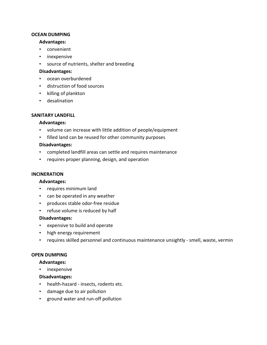#### **OCEAN DUMPING**

#### **Advantages:**

- convenient
- inexpensive
- source of nutrients, shelter and breeding

#### **Disadvantages:**

- ocean overburdened
- distruction of food sources
- killing of plankton
- desalination

#### **SANITARY LANDFILL**

#### **Advantages:**

- volume can increase with little addition of people/equipment
- filled land can be reused for other community purposes

#### **Disadvantages:**

- completed landfill areas can settle and requires maintenance
- requires proper planning, design, and operation

#### **INCINERATION**

#### **Advantages:**

- requires minimum land
- can be operated in any weather
- produces stable odor-free residue
- refuse volume is reduced by half

#### **Disadvantages:**

- expensive to build and operate
- high energy requirement
- requires skilled personnel and continuous maintenance unsightly smell, waste, vermin

#### **OPEN DUMPING**

#### **Advantages:**

• inexpensive

#### **Disadvantages:**

- health-hazard insects, rodents etc.
- damage due to air pollution
- ground water and run-off pollution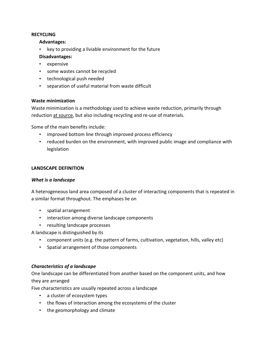#### **RECYCLING**

#### **Advantages:**

• key to providing a liviable environment for the future

#### **Disadvantages:**

- expensive
- some wastes cannot be recycled
- technological push needed
- separation of useful material from waste difficult

#### **Waste minimization**

Waste minimization is a methodology used to achieve waste reduction, primarily through reduction at source, but also including recycling and re-use of materials.

Some of the main benefits include:

- improved bottom line through improved process efficiency
- reduced burden on the environment, with improved public image and compliance with legislation

#### **LANDSCAPE DEFINITION**

#### *What is a landscape*

A heterogeneous land area composed of a cluster of interacting components that is repeated in a similar format throughout. The emphases lie on

- spatial arrangement
- interaction among diverse landscape components
- resulting landscape processes

A landscape is distinguished by its

- component units (e.g. the pattern of farms, cultivation, vegetation, hills, valley etc)
- Spatial arrangement of those components

#### *Characteristics of a landscape*

One landscape can be differentiated from another based on the component units, and how they are arranged

Five characteristics are usually repeated across a landscape

- a cluster of ecosystem types
- the flows of interaction among the ecosystems of the cluster
- the geomorphology and climate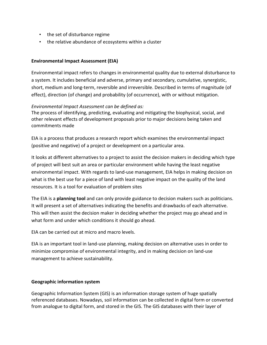- the set of disturbance regime
- the relative abundance of ecosystems within a cluster

#### **Environmental Impact Assessment (EIA)**

Environmental impact refers to changes in environmental quality due to external disturbance to a system. It includes beneficial and adverse, primary and secondary, cumulative, synergistic, short, medium and long-term, reversible and irreversible. Described in terms of magnitude (of effect), direction (of change) and probability (of occurrence), with or without mitigation.

#### *Environmental Impact Assessment can be defined as:*

The process of identifying, predicting, evaluating and mitigating the biophysical, social, and other relevant effects of development proposals prior to major decisions being taken and commitments made

EIA is a process that produces a research report which examines the environmental impact (positive and negative) of a project or development on a particular area.

It looks at different alternatives to a project to assist the decision makers in deciding which type of project will best suit an area or particular environment while having the least negative environmental impact. With regards to land-use management, EIA helps in making decision on what is the best use for a piece of land with least negative impact on the quality of the land resources. It is a tool for evaluation of problem sites

The EIA is a **planning tool** and can only provide guidance to decision makers such as politicians. It will present a set of alternatives indicating the benefits and drawbacks of each alternative. This will then assist the decision maker in deciding whether the project may go ahead and in what form and under which conditions it should go ahead.

EIA can be carried out at micro and macro levels.

EIA is an important tool in land-use planning, making decision on alternative uses in order to minimize compromise of environmental integrity, and in making decision on land-use management to achieve sustainability.

#### **Geographic information system**

Geographic Information System (GIS) is an information storage system of huge spatially referenced databases. Nowadays, soil information can be collected in digital form or converted from analogue to digital form, and stored in the GIS. The GIS databases with their layer of